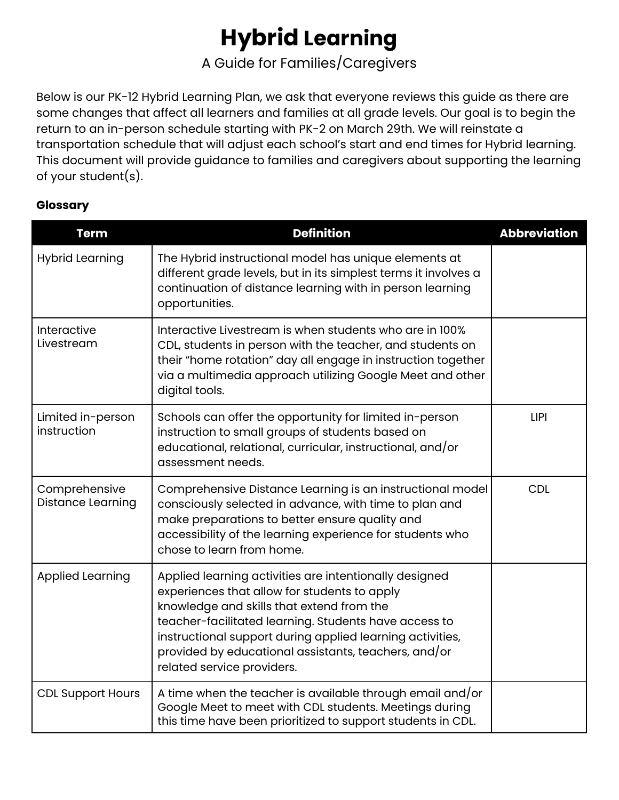# **Hybrid Learning**

A Guide for Families/Caregivers

Below is our PK-12 Hybrid Learning Plan, we ask that everyone reviews this guide as there are some changes that affect all learners and families at all grade levels. Our goal is to begin the return to an in-person schedule starting with PK-2 on March 29th. We will reinstate a transportation schedule that will adjust each school's start and end times for Hybrid learning. This document will provide guidance to families and caregivers about supporting the learning of your student(s).

## **Glossary**

| <b>Term</b>                        | <b>Definition</b>                                                                                                                                                                                                                                                                                                                                               | <b>Abbreviation</b> |
|------------------------------------|-----------------------------------------------------------------------------------------------------------------------------------------------------------------------------------------------------------------------------------------------------------------------------------------------------------------------------------------------------------------|---------------------|
| <b>Hybrid Learning</b>             | The Hybrid instructional model has unique elements at<br>different grade levels, but in its simplest terms it involves a<br>continuation of distance learning with in person learning<br>opportunities.                                                                                                                                                         |                     |
| Interactive<br>Livestream          | Interactive Livestream is when students who are in 100%<br>CDL, students in person with the teacher, and students on<br>their "home rotation" day all engage in instruction together<br>via a multimedia approach utilizing Google Meet and other<br>digital tools.                                                                                             |                     |
| Limited in-person<br>instruction   | Schools can offer the opportunity for limited in-person<br>instruction to small groups of students based on<br>educational, relational, curricular, instructional, and/or<br>assessment needs.                                                                                                                                                                  | <b>LIPI</b>         |
| Comprehensive<br>Distance Learning | Comprehensive Distance Learning is an instructional model<br>consciously selected in advance, with time to plan and<br>make preparations to better ensure quality and<br>accessibility of the learning experience for students who<br>chose to learn from home.                                                                                                 | <b>CDL</b>          |
| <b>Applied Learning</b>            | Applied learning activities are intentionally designed<br>experiences that allow for students to apply<br>knowledge and skills that extend from the<br>teacher-facilitated learning. Students have access to<br>instructional support during applied learning activities,<br>provided by educational assistants, teachers, and/or<br>related service providers. |                     |
| <b>CDL Support Hours</b>           | A time when the teacher is available through email and/or<br>Google Meet to meet with CDL students. Meetings during<br>this time have been prioritized to support students in CDL.                                                                                                                                                                              |                     |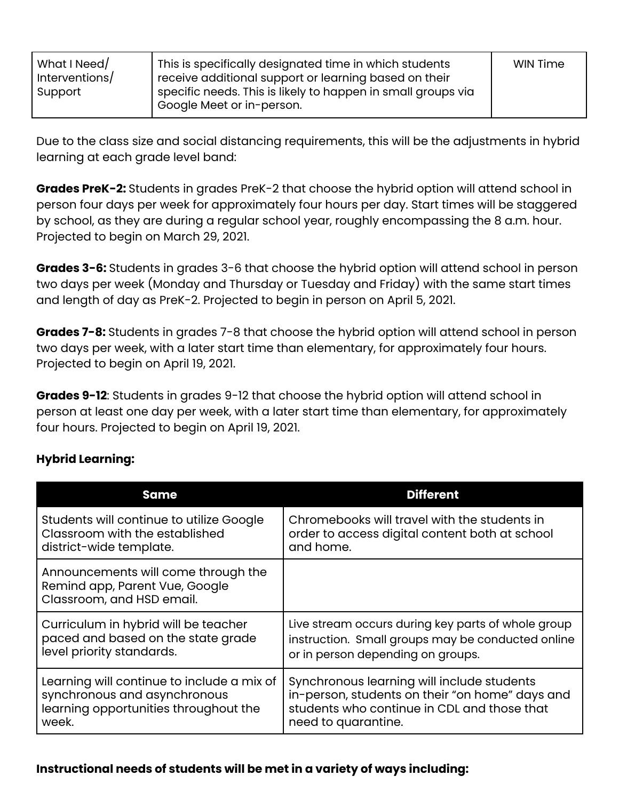| What I Need/<br>Interventions/ | This is specifically designated time in which students<br>receive additional support or learning based on their | <b>WIN Time</b> |
|--------------------------------|-----------------------------------------------------------------------------------------------------------------|-----------------|
| Support                        | specific needs. This is likely to happen in small groups via<br>Google Meet or in-person.                       |                 |

Due to the class size and social distancing requirements, this will be the adjustments in hybrid learning at each grade level band:

**Grades PreK-2:** Students in grades PreK-2 that choose the hybrid option will attend school in person four days per week for approximately four hours per day. Start times will be staggered by school, as they are during a regular school year, roughly encompassing the 8 a.m. hour. Projected to begin on March 29, 2021.

**Grades 3-6:** Students in grades 3-6 that choose the hybrid option will attend school in person two days per week (Monday and Thursday or Tuesday and Friday) with the same start times and length of day as PreK-2. Projected to begin in person on April 5, 2021.

**Grades 7-8:** Students in grades 7-8 that choose the hybrid option will attend school in person two days per week, with a later start time than elementary, for approximately four hours. Projected to begin on April 19, 2021.

**Grades 9-12**: Students in grades 9-12 that choose the hybrid option will attend school in person at least one day per week, with a later start time than elementary, for approximately four hours. Projected to begin on April 19, 2021.

# **Hybrid Learning:**

| <b>Same</b>                                                                                        | <b>Different</b>                                   |
|----------------------------------------------------------------------------------------------------|----------------------------------------------------|
| Students will continue to utilize Google                                                           | Chromebooks will travel with the students in       |
| Classroom with the established                                                                     | order to access digital content both at school     |
| district-wide template.                                                                            | and home.                                          |
| Announcements will come through the<br>Remind app, Parent Vue, Google<br>Classroom, and HSD email. |                                                    |
| Curriculum in hybrid will be teacher                                                               | Live stream occurs during key parts of whole group |
| paced and based on the state grade                                                                 | instruction. Small groups may be conducted online  |
| level priority standards.                                                                          | or in person depending on groups.                  |
| Learning will continue to include a mix of                                                         | Synchronous learning will include students         |
| synchronous and asynchronous                                                                       | in-person, students on their "on home" days and    |
| learning opportunities throughout the                                                              | students who continue in CDL and those that        |
| week.                                                                                              | need to quarantine.                                |

## **Instructional needs of students will be met in a variety of ways including:**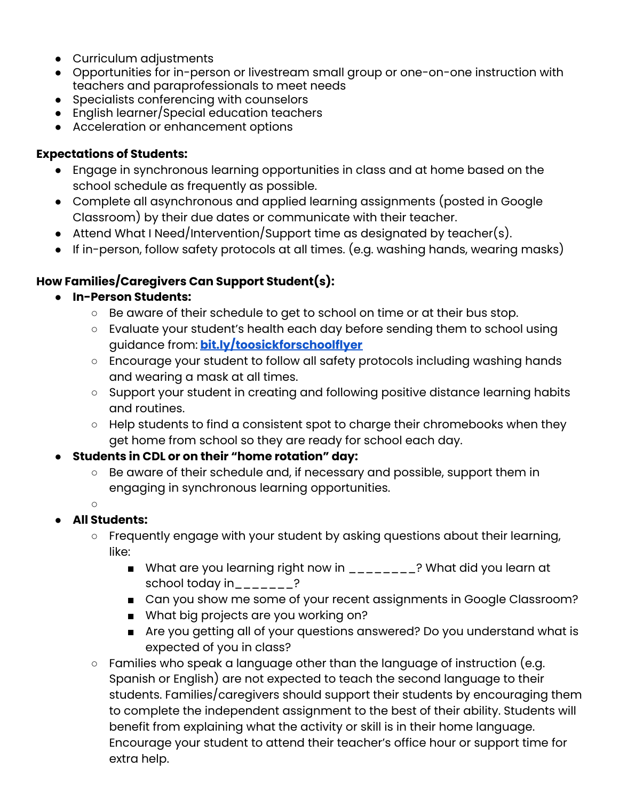- Curriculum adjustments
- Opportunities for in-person or livestream small group or one-on-one instruction with teachers and paraprofessionals to meet needs
- Specialists conferencing with counselors
- English learner/Special education teachers
- Acceleration or enhancement options

# **Expectations of Students:**

- Engage in synchronous learning opportunities in class and at home based on the school schedule as frequently as possible.
- Complete all asynchronous and applied learning assignments (posted in Google Classroom) by their due dates or communicate with their teacher.
- Attend What I Need/Intervention/Support time as designated by teacher(s).
- $\bullet$  If in-person, follow safety protocols at all times. (e.g. washing hands, wearing masks)

# **How Families/Caregivers Can Support Student(s):**

## **● In-Person Students:**

- Be aware of their schedule to get to school on time or at their bus stop.
- Evaluate your student's health each day before sending them to school using guidance from: **[bit.ly/toosickforschoolflyer](http://bit.ly/toosickforschoolflyer)**
- Encourage your student to follow all safety protocols including washing hands and wearing a mask at all times.
- Support your student in creating and following positive distance learning habits and routines.
- Help students to find a consistent spot to charge their chromebooks when they get home from school so they are ready for school each day.
- **Students in CDL or on their "home rotation" day:**
	- Be aware of their schedule and, if necessary and possible, support them in engaging in synchronous learning opportunities.
	- ○

# **● All Students:**

- Frequently engage with your student by asking questions about their learning, like:
	- What are you learning right now in \_\_\_\_\_\_\_\_? What did you learn at school today in\_\_\_\_\_\_\_?
	- Can you show me some of your recent assignments in Google Classroom?
	- What big projects are you working on?
	- Are you getting all of your questions answered? Do you understand what is expected of you in class?
- Families who speak a language other than the language of instruction (e.g. Spanish or English) are not expected to teach the second language to their students. Families/caregivers should support their students by encouraging them to complete the independent assignment to the best of their ability. Students will benefit from explaining what the activity or skill is in their home language. Encourage your student to attend their teacher's office hour or support time for extra help.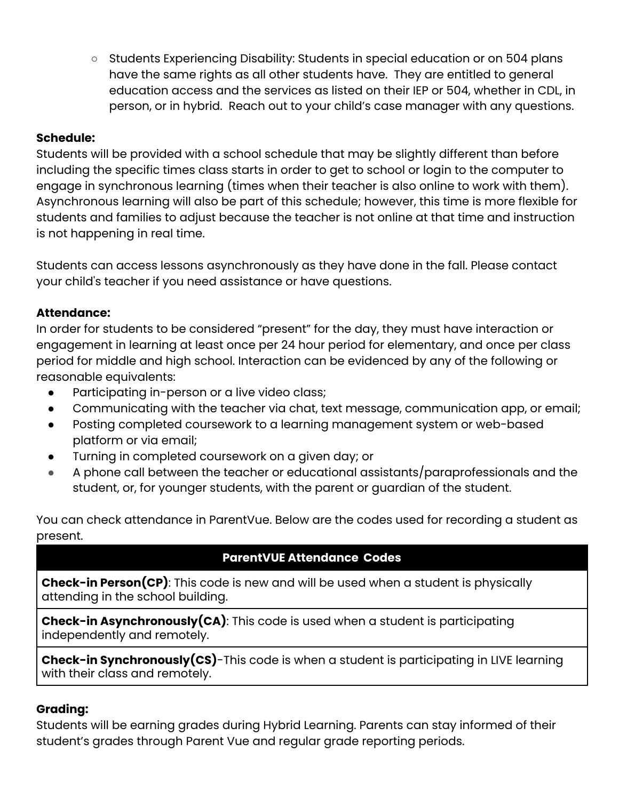○ Students Experiencing Disability: Students in special education or on 504 plans have the same rights as all other students have. They are entitled to general education access and the services as listed on their IEP or 504, whether in CDL, in person, or in hybrid. Reach out to your child's case manager with any questions.

## **Schedule:**

Students will be provided with a school schedule that may be slightly different than before including the specific times class starts in order to get to school or login to the computer to engage in synchronous learning (times when their teacher is also online to work with them). Asynchronous learning will also be part of this schedule; however, this time is more flexible for students and families to adjust because the teacher is not online at that time and instruction is not happening in real time.

Students can access lessons asynchronously as they have done in the fall. Please contact your child's teacher if you need assistance or have questions.

## **Attendance:**

In order for students to be considered "present" for the day, they must have interaction or engagement in learning at least once per 24 hour period for elementary, and once per class period for middle and high school. Interaction can be evidenced by any of the following or reasonable equivalents:

- Participating in-person or a live video class;
- Communicating with the teacher via chat, text message, communication app, or email;
- Posting completed coursework to a learning management system or web-based platform or via email;
- Turning in completed coursework on a given day; or
- A phone call between the teacher or educational assistants/paraprofessionals and the student, or, for younger students, with the parent or guardian of the student.

You can check attendance in ParentVue. Below are the codes used for recording a student as present.

# **ParentVUE Attendance Codes**

**Check-in Person(CP)**: This code is new and will be used when a student is physically attending in the school building.

**Check-in Asynchronously(CA)**: This code is used when a student is participating independently and remotely.

**Check-in Synchronously(CS)**-This code is when a student is participating in LIVE learning with their class and remotely.

## **Grading:**

Students will be earning grades during Hybrid Learning. Parents can stay informed of their student's grades through Parent Vue and regular grade reporting periods.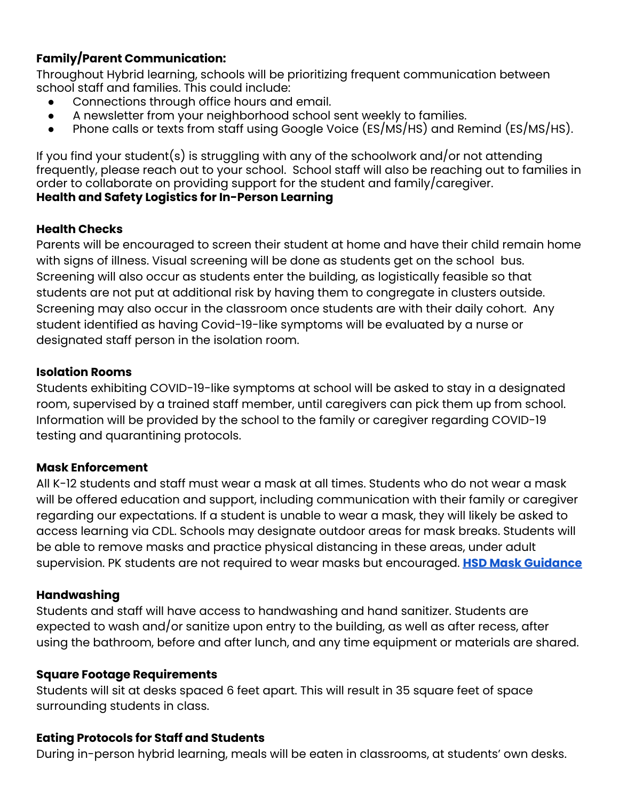# **Family/Parent Communication:**

Throughout Hybrid learning, schools will be prioritizing frequent communication between school staff and families. This could include:

- Connections through office hours and email.
- A newsletter from your neighborhood school sent weekly to families.
- Phone calls or texts from staff using Google Voice (ES/MS/HS) and Remind (ES/MS/HS).

If you find your student(s) is struggling with any of the schoolwork and/or not attending frequently, please reach out to your school. School staff will also be reaching out to families in order to collaborate on providing support for the student and family/caregiver. **Health and Safety Logistics for In-Person Learning**

## **Health Checks**

Parents will be encouraged to screen their student at home and have their child remain home with signs of illness. Visual screening will be done as students get on the school bus. Screening will also occur as students enter the building, as logistically feasible so that students are not put at additional risk by having them to congregate in clusters outside. Screening may also occur in the classroom once students are with their daily cohort. Any student identified as having Covid-19-like symptoms will be evaluated by a nurse or designated staff person in the isolation room.

## **Isolation Rooms**

Students exhibiting COVID-19-like symptoms at school will be asked to stay in a designated room, supervised by a trained staff member, until caregivers can pick them up from school. Information will be provided by the school to the family or caregiver regarding COVID-19 testing and quarantining protocols.

## **Mask Enforcement**

All K-12 students and staff must wear a mask at all times. Students who do not wear a mask will be offered education and support, including communication with their family or caregiver regarding our expectations. If a student is unable to wear a mask, they will likely be asked to access learning via CDL. Schools may designate outdoor areas for mask breaks. Students will be able to remove masks and practice physical distancing in these areas, under adult supervision. PK students are not required to wear masks but encouraged. **HSD Mask [Guidance](https://docs.google.com/document/d/1dvxjWb0KUJGl-1FTYEotEjuapPfeb7M4wk_yXWbGEKU/edit?usp=sharing)**

## **Handwashing**

Students and staff will have access to handwashing and hand sanitizer. Students are expected to wash and/or sanitize upon entry to the building, as well as after recess, after using the bathroom, before and after lunch, and any time equipment or materials are shared.

## **Square Footage Requirements**

Students will sit at desks spaced 6 feet apart. This will result in 35 square feet of space surrounding students in class.

## **Eating Protocols for Staff and Students**

During in-person hybrid learning, meals will be eaten in classrooms, at students' own desks.